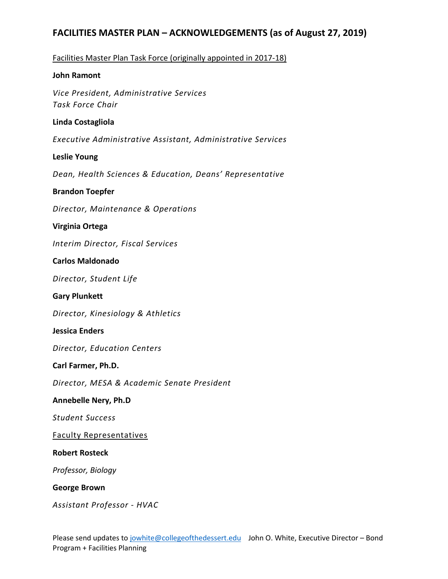# Facilities Master Plan Task Force (originally appointed in 2017-18)

# **John Ramont**

*Vice President, Administrative Services Task Force Chair*

# **Linda Costagliola**

*Executive Administrative Assistant, Administrative Services*

# **Leslie Young**

*Dean, Health Sciences & Education, Deans' Representative*

# **Brandon Toepfer**

*Director, Maintenance & Operations*

# **Virginia Ortega**

*Interim Director, Fiscal Services*

# **Carlos Maldonado**

*Director, Student Life*

# **Gary Plunkett**

*Director, Kinesiology & Athletics*

# **Jessica Enders**

*Director, Education Centers*

# **Carl Farmer, Ph.D.**

*Director, MESA & Academic Senate President*

# **Annebelle Nery, Ph.D**

*Student Success*

# Faculty Representatives

# **Robert Rosteck**

*Professor, Biology*

# **George Brown**

*Assistant Professor - HVAC*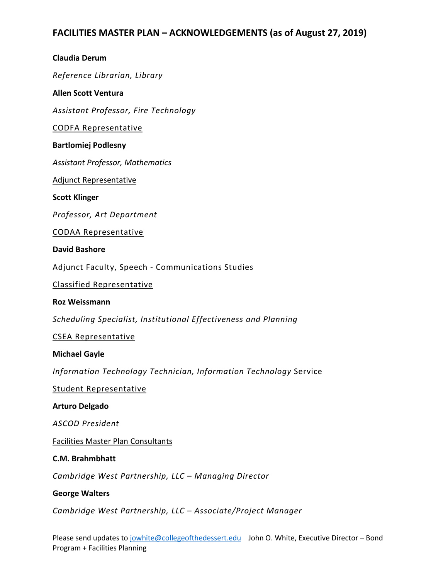# **Claudia Derum** *Reference Librarian, Library* **Allen Scott Ventura** *Assistant Professor, Fire Technology* CODFA Representative **Bartlomiej Podlesny** *Assistant Professor, Mathematics* Adjunct Representative **Scott Klinger** *Professor, Art Department* CODAA Representative **David Bashore** Adjunct Faculty, Speech - Communications Studies Classified Representative

**Roz Weissmann**

*Scheduling Specialist, Institutional Effectiveness and Planning*

CSEA Representative

#### **Michael Gayle**

*Information Technology Technician, Information Technology* Service

Student Representative

#### **Arturo Delgado**

*ASCOD President*

Facilities Master Plan Consultants

#### **C.M. Brahmbhatt**

*Cambridge West Partnership, LLC – Managing Director*

#### **George Walters**

*Cambridge West Partnership, LLC – Associate/Project Manager*

Please send updates t[o jowhite@collegeofthedessert.edu](mailto:jowhite@collegeofthedessert.edu) John O. White, Executive Director – Bond Program + Facilities Planning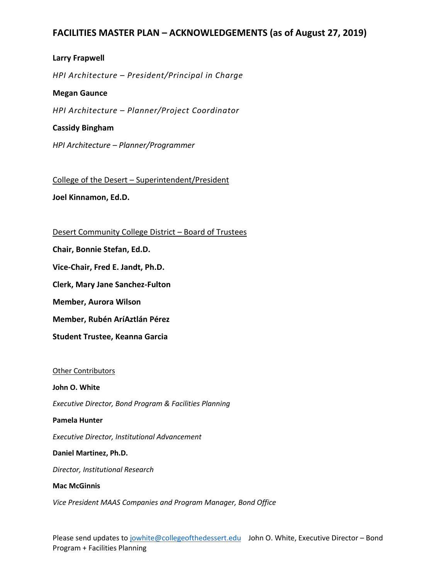# **Larry Frapwell**

*HPI Architecture – President/Principal in Charge*

#### **Megan Gaunce**

*HPI Architecture – Planner/Project Coordinator*

#### **Cassidy Bingham**

*HPI Architecture – Planner/Programmer*

College of the Desert – Superintendent/President

**Joel Kinnamon, Ed.D.**

#### Desert Community College District – Board of Trustees

**Chair, Bonnie Stefan, Ed.D.**

**Vice-Chair, Fred E. Jandt, Ph.D.**

**Clerk, Mary Jane Sanchez-Fulton**

**Member, Aurora Wilson**

**Member, Rubén AríAztlán Pérez**

**Student Trustee, Keanna Garcia** 

#### Other Contributors

#### **John O. White**

*Executive Director, Bond Program & Facilities Planning* 

#### **Pamela Hunter**

*Executive Director, Institutional Advancement*

#### **Daniel Martinez, Ph.D.**

*Director, Institutional Research*

#### **Mac McGinnis**

*Vice President MAAS Companies and Program Manager, Bond Office*